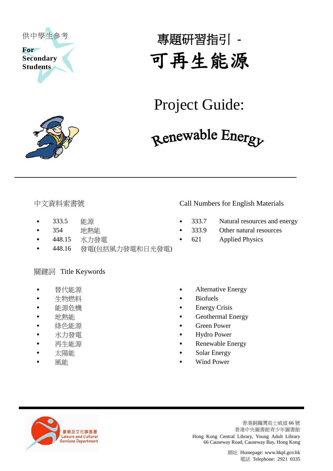



# 專題研習指引 **-** 可再生能源

### Project Guide:

## Renewable Energy

- 
- 
- 
- 448.16 發電(包括風力發電和日光發電)

#### 關鍵詞 Title Keywords

- 
- 
- 
- 
- 
- 
- 
- 
- 

#### 中文資料索書號 Call Numbers for English Materials

- 333.5 能源 333.7 Natural resources and energy
- 354 地熱能 333.9 Other natural resources
	- 448.15 水力發電 621 Applied Physics
	- 替代能源 **Alternative Energy**
	- 生物燃料 **Biofuels**
	- 能源危機 Energy Crisis
- 地熱能 Geothermal Energy
	- **綠色能源 Green Power**
	- 水力發電 **Hydro Power**
	- 再生能源 **Renewable Energy**
	- 太陽能 **Solar Energy**
	- 風能 Wind Power



香港銅鑼灣高士威道 66 號 香港中央圖書館青少年圖書館 Hong Kong Central Library, Young Adult Library 66 Causeway Road, Causeway Bay, Hong Kong

> 網址 [Homepage: www.hkpl.gov.hk](http://www.hkpl.gov.hk/) 電話 Telephone: 2921 0335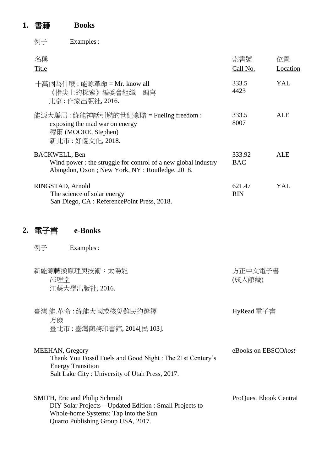### **1.** 書籍 **Books**

例子 Examples :

| 名稱<br>Title                                                                                                                             | 索書號<br>Call No.      | 位置<br>Location |
|-----------------------------------------------------------------------------------------------------------------------------------------|----------------------|----------------|
| 十萬個為什麼 : 能源革命 = Mr. know all<br>《指尖上的探索》編委會組織<br>編寫<br>北京:作家出版社, 2016.                                                                  | 333.5<br>4423        | YAL            |
| 能源大騙局 : 綠能神話引燃的世紀豪賭 = Fueling freedom :<br>exposing the mad war on energy<br>穆爾 (MOORE, Stephen)<br>新北市:好優文化, 2018.                     | 333.5<br>8007        | <b>ALE</b>     |
| <b>BACKWELL, Ben</b><br>Wind power: the struggle for control of a new global industry<br>Abingdon, Oxon; New York, NY: Routledge, 2018. | 333.92<br><b>BAC</b> | ALE            |
| RINGSTAD, Arnold<br>The science of solar energy<br>San Diego, CA: ReferencePoint Press, 2018.                                           | 621.47<br><b>RIN</b> | YAL            |
| e-Books<br>電子書                                                                                                                          |                      |                |
| 例子<br>Examples :                                                                                                                        |                      |                |
| · 新作 百輔 挽 百 珥 朗 揖 湍 ・ 十 阻 詐                                                                                                             | 方正由立雷子聿              |                |

| 新భ源豐換原理哭抆仰・人吻寤<br>邵理堂<br>江蘇大學出版社, 2016.                 | 力止屮乂电丁青<br>(成人館藏) |
|---------------------------------------------------------|-------------------|
| 臺灣.能.革命:綠能大國或核災難民的選擇<br>方儉<br>臺北市:臺灣商務印書館, 2014[民 103]. | HyRead 電子書        |

MEEHAN, Gregory Thank You Fossil Fuels and Good Night : The 21st Century's Energy Transition Salt Lake City : University of Utah Press, 2017. eBooks on EBSCO*host*

| <b>SMITH, Eric and Philip Schmidt</b>                    | <b>ProQuest Ebook Central</b> |
|----------------------------------------------------------|-------------------------------|
| DIY Solar Projects – Updated Edition : Small Projects to |                               |
| Whole-home Systems: Tap Into the Sun                     |                               |
| Quarto Publishing Group USA, 2017.                       |                               |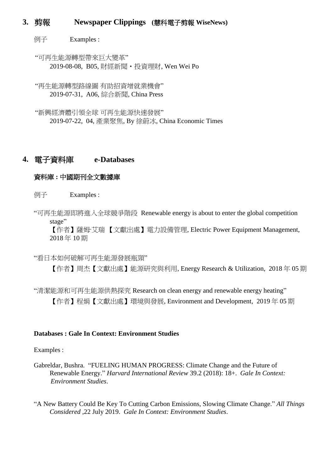#### **3.** 剪報 **Newspaper Clippings (**慧科電子剪報 **WiseNews)**

例子 Examples :

"可再生能源轉型帶來巨大變革" 2019-08-08, B05, 財經新聞‧投資理財, Wen Wei Po

"再生能源轉型路線圖 有助招資增就業機會" 2019-07-31, A06, 綜合新聞, China Press

"新興經濟體引領全球 可再生能源快速發展" 2019-07-22, 04, 產業聚焦, By 徐蔚冰, China Economic Times

#### **4.** 電子資料庫 **e-Databases**

#### 資料庫 **:** 中國期刊全文數據庫

例子 Examples :

"可再生能源即將進入全球競爭階段 Renewable energy is about to enter the global competition stage"

【作者】薩姆·艾瑞 【文獻出處】電力設備管理, Electric Power Equipment Management, 2018 年 10 期

#### "看日本如何破解可再生能源發展瓶頸"

【作者】周杰【文獻出處】能源研究與利用, Energy Research & Utilization, 2018 年 05 期

"清潔能源和可再生能源供熱探究 Research on clean energy and renewable energy heating" 【作者】程娟【文獻出處】環境與發展, Environment and Development, 2019 年 05 期

#### **Databases : Gale In Context: Environment Studies**

Examples :

Gabreldar, Bushra. "FUELING HUMAN PROGRESS: Climate Change and the Future of Renewable Energy." *Harvard International Review* 39.2 (2018): 18+. *Gale In Context: Environment Studies*.

"A New Battery Could Be Key To Cutting Carbon Emissions, Slowing Climate Change." *All Things Considered ,*22 July 2019. *Gale In Context: Environment Studies*.